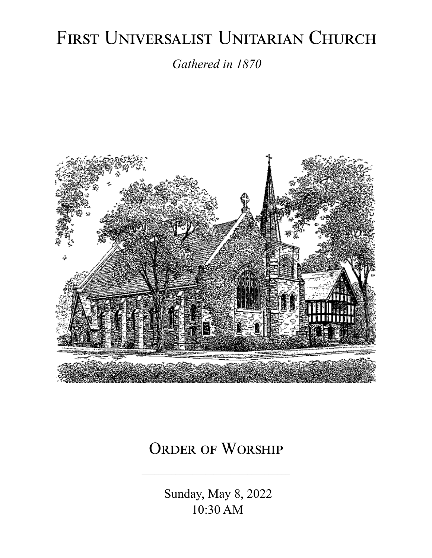# FIRST UNIVERSALIST UNITARIAN CHURCH

*Gathered in 1870*



# ORDER OF WORSHIP

 Sunday, May 8, 2022 10:30 AM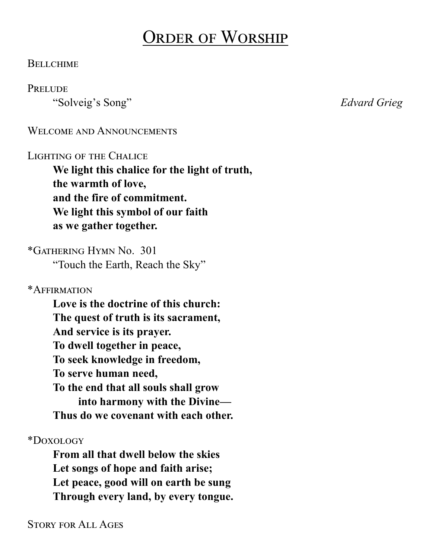# Order of Worship

#### **BELLCHIME**

#### **PRELUDE**

"Solveig's Song" *Edvard Grieg*

#### WELCOME AND ANNOUNCEMENTS

#### Lighting of the Chalice

**We light this chalice for the light of truth, the warmth of love, and the fire of commitment. We light this symbol of our faith as we gather together.**

\*Gathering Hymn No. 301 "Touch the Earth, Reach the Sky"

\*Affirmation

**Love is the doctrine of this church: The quest of truth is its sacrament, And service is its prayer. To dwell together in peace, To seek knowledge in freedom, To serve human need, To the end that all souls shall grow into harmony with the Divine— Thus do we covenant with each other.**

\*Doxology

**From all that dwell below the skies Let songs of hope and faith arise; Let peace, good will on earth be sung Through every land, by every tongue.**

Story for All Ages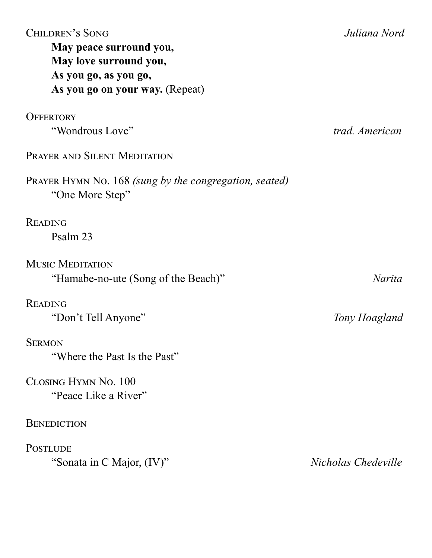| <b>CHILDREN'S SONG</b><br>May peace surround you,<br>May love surround you,<br>As you go, as you go,<br>As you go on your way. (Repeat) | Juliana Nord        |
|-----------------------------------------------------------------------------------------------------------------------------------------|---------------------|
| <b>OFFERTORY</b>                                                                                                                        |                     |
| "Wondrous Love"                                                                                                                         | trad. American      |
| PRAYER AND SILENT MEDITATION                                                                                                            |                     |
| <b>PRAYER HYMN NO. 168 (sung by the congregation, seated)</b><br>"One More Step"                                                        |                     |
| <b>READING</b>                                                                                                                          |                     |
| Psalm 23                                                                                                                                |                     |
| <b>MUSIC MEDITATION</b>                                                                                                                 |                     |
| "Hamabe-no-ute (Song of the Beach)"                                                                                                     | <i>Narita</i>       |
| <b>READING</b>                                                                                                                          |                     |
| "Don't Tell Anyone"                                                                                                                     | Tony Hoagland       |
| <b>SERMON</b>                                                                                                                           |                     |
| "Where the Past Is the Past"                                                                                                            |                     |
| CLOSING HYMN No. 100                                                                                                                    |                     |
| "Peace Like a River"                                                                                                                    |                     |
| <b>BENEDICTION</b>                                                                                                                      |                     |
| <b>POSTLUDE</b>                                                                                                                         |                     |
| "Sonata in C Major, (IV)"                                                                                                               | Nicholas Chedeville |